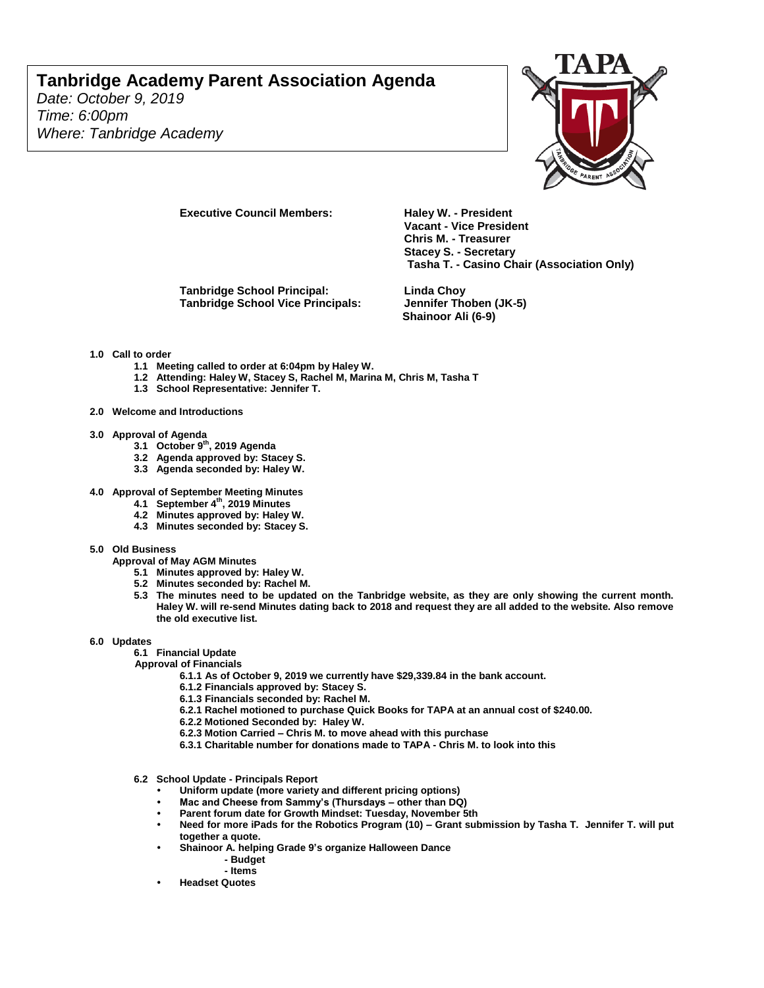# **Tanbridge Academy Parent Association Agenda**

*Date: October 9, 2019 Time: 6:00pm Where: Tanbridge Academy*



**Executive Council Members: Haley W. - President** 

**Tanbridge School Principal: Linda Choy Tanbridge School Vice Principals: Jennifer Thoben (JK-5)**

**Vacant - Vice President Chris M. - Treasurer Stacey S. - Secretary Tasha T. - Casino Chair (Association Only)**

**Shainoor Ali (6-9)**

#### **1.0 Call to order**

- **1.1 Meeting called to order at 6:04pm by Haley W.**
- **1.2 Attending: Haley W, Stacey S, Rachel M, Marina M, Chris M, Tasha T**
- **1.3 School Representative: Jennifer T.**

### **2.0 Welcome and Introductions**

- 
- **3.0 Approval of Agenda 3.1 October 9th, 2019 Agenda**
	- **3.2 Agenda approved by: Stacey S.**
	- **3.3 Agenda seconded by: Haley W.**
- **4.0 Approval of September Meeting Minutes**
	- **4.1 September 4th, 2019 Minutes**
	- **4.2 Minutes approved by: Haley W.**
	- **4.3 Minutes seconded by: Stacey S.**

#### **5.0 Old Business**

**Approval of May AGM Minutes**

- **5.1 Minutes approved by: Haley W.**
- **5.2 Minutes seconded by: Rachel M.**
- **5.3 The minutes need to be updated on the Tanbridge website, as they are only showing the current month. Haley W. will re-send Minutes dating back to 2018 and request they are all added to the website. Also remove the old executive list.**

#### **6.0 Updates**

**6.1 Financial Update**

**Approval of Financials**

- **6.1.1 As of October 9, 2019 we currently have \$29,339.84 in the bank account.**
- **6.1.2 Financials approved by: Stacey S.**
- **6.1.3 Financials seconded by: Rachel M.**
- **6.2.1 Rachel motioned to purchase Quick Books for TAPA at an annual cost of \$240.00.**
- **6.2.2 Motioned Seconded by: Haley W.**
- **6.2.3 Motion Carried – Chris M. to move ahead with this purchase**
- **6.3.1 Charitable number for donations made to TAPA - Chris M. to look into this**
- **6.2 School Update - Principals Report**
	- **• Uniform update (more variety and different pricing options)**
	- **• Mac and Cheese from Sammy's (Thursdays – other than DQ)**
	- **• Parent forum date for Growth Mindset: Tuesday, November 5th**
	- **• Need for more iPads for the Robotics Program (10) – Grant submission by Tasha T. Jennifer T. will put together a quote.**
	- **• Shainoor A. helping Grade 9's organize Halloween Dance** 
		- **- Budget**
		- **- Items**
	- **• Headset Quotes**